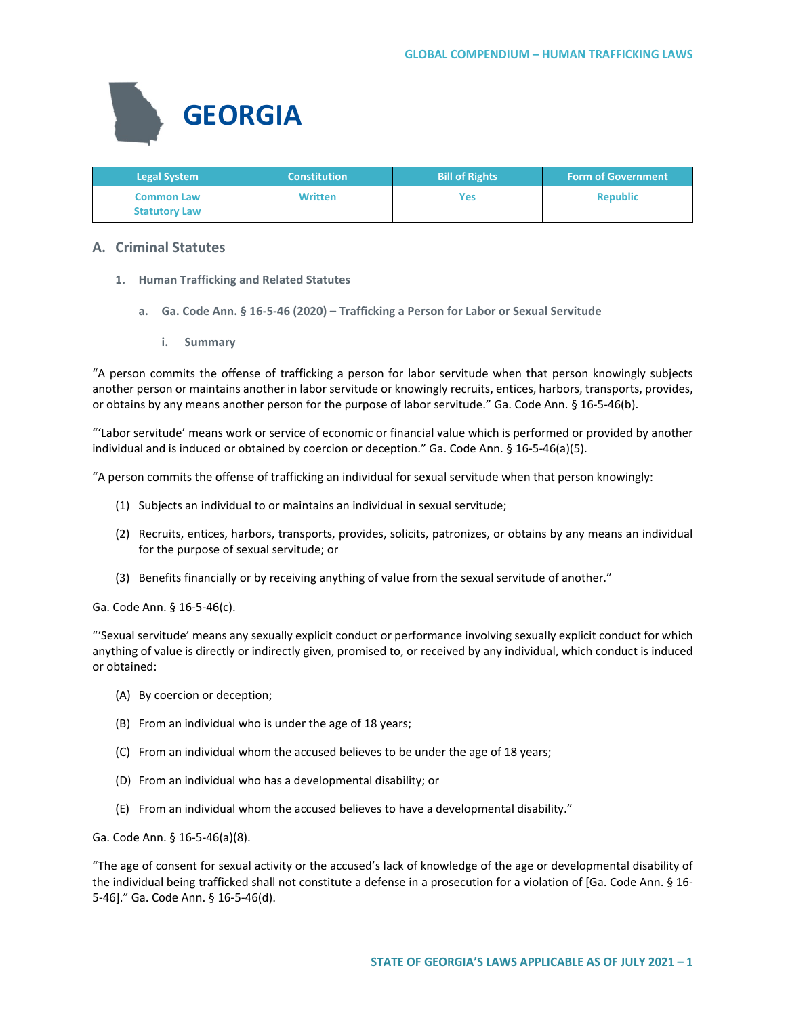

| <b>Legal System</b>  | <b>Constitution</b> | <b>Bill of Rights</b> | <b>Form of Government</b> |
|----------------------|---------------------|-----------------------|---------------------------|
| <b>Common Law</b>    | <b>Written</b>      | Yes                   | <b>Republic</b>           |
| <b>Statutory Law</b> |                     |                       |                           |

# **A. Criminal Statutes**

- **1. Human Trafficking and Related Statutes**
	- **a. Ga. Code Ann. § 16-5-46 (2020) – Trafficking a Person for Labor or Sexual Servitude**
		- **i. Summary**

"A person commits the offense of trafficking a person for labor servitude when that person knowingly subjects another person or maintains another in labor servitude or knowingly recruits, entices, harbors, transports, provides, or obtains by any means another person for the purpose of labor servitude." Ga. Code Ann. § 16-5-46(b).

"'Labor servitude' means work or service of economic or financial value which is performed or provided by another individual and is induced or obtained by coercion or deception." Ga. Code Ann. § 16-5-46(a)(5).

"A person commits the offense of trafficking an individual for sexual servitude when that person knowingly:

- (1) Subjects an individual to or maintains an individual in sexual servitude;
- (2) Recruits, entices, harbors, transports, provides, solicits, patronizes, or obtains by any means an individual for the purpose of sexual servitude; or
- (3) Benefits financially or by receiving anything of value from the sexual servitude of another."

Ga. Code Ann. § 16-5-46(c).

"'Sexual servitude' means any sexually explicit conduct or performance involving sexually explicit conduct for which anything of value is directly or indirectly given, promised to, or received by any individual, which conduct is induced or obtained:

- (A) By coercion or deception;
- (B) From an individual who is under the age of 18 years;
- (C) From an individual whom the accused believes to be under the age of 18 years;
- (D) From an individual who has a developmental disability; or
- (E) From an individual whom the accused believes to have a developmental disability."

Ga. Code Ann. § 16-5-46(a)(8).

"The age of consent for sexual activity or the accused's lack of knowledge of the age or developmental disability of the individual being trafficked shall not constitute a defense in a prosecution for a violation of [Ga. Code Ann. § 16- 5-46]." Ga. Code Ann. § 16-5-46(d).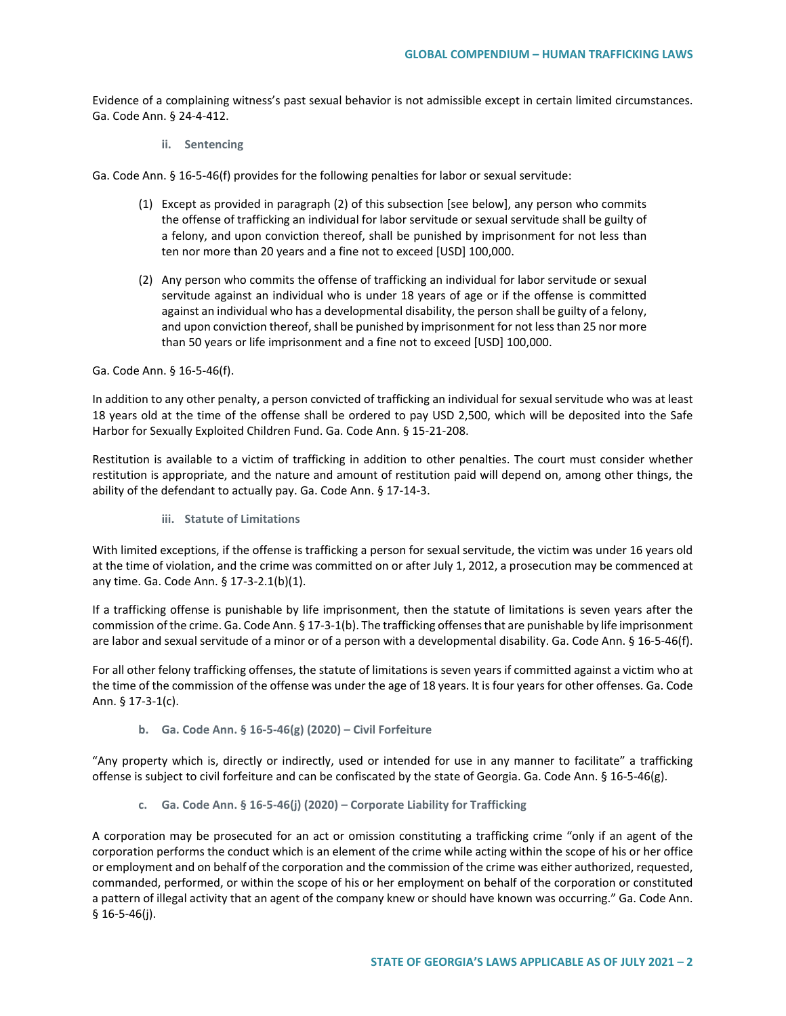Evidence of a complaining witness's past sexual behavior is not admissible except in certain limited circumstances. Ga. Code Ann. § 24-4-412.

**ii. Sentencing**

Ga. Code Ann. § 16-5-46(f) provides for the following penalties for labor or sexual servitude:

- (1) Except as provided in paragraph (2) of this subsection [see below], any person who commits the offense of trafficking an individual for labor servitude or sexual servitude shall be guilty of a felony, and upon conviction thereof, shall be punished by imprisonment for not less than ten nor more than 20 years and a fine not to exceed [USD] 100,000.
- (2) Any person who commits the offense of trafficking an individual for labor servitude or sexual servitude against an individual who is under 18 years of age or if the offense is committed against an individual who has a developmental disability, the person shall be guilty of a felony, and upon conviction thereof, shall be punished by imprisonment for not less than 25 nor more than 50 years or life imprisonment and a fine not to exceed [USD] 100,000.

Ga. Code Ann. § 16-5-46(f).

In addition to any other penalty, a person convicted of trafficking an individual for sexual servitude who was at least 18 years old at the time of the offense shall be ordered to pay USD 2,500, which will be deposited into the Safe Harbor for Sexually Exploited Children Fund. Ga. Code Ann. § 15-21-208.

Restitution is available to a victim of trafficking in addition to other penalties. The court must consider whether restitution is appropriate, and the nature and amount of restitution paid will depend on, among other things, the ability of the defendant to actually pay. Ga. Code Ann. § 17-14-3.

**iii. Statute of Limitations**

With limited exceptions, if the offense is trafficking a person for sexual servitude, the victim was under 16 years old at the time of violation, and the crime was committed on or after July 1, 2012, a prosecution may be commenced at any time. Ga. Code Ann. § 17-3-2.1(b)(1).

If a trafficking offense is punishable by life imprisonment, then the statute of limitations is seven years after the commission of the crime. Ga. Code Ann. § 17-3-1(b). The trafficking offenses that are punishable by life imprisonment are labor and sexual servitude of a minor or of a person with a developmental disability. Ga. Code Ann. § 16-5-46(f).

For all other felony trafficking offenses, the statute of limitations is seven years if committed against a victim who at the time of the commission of the offense was under the age of 18 years. It is four years for other offenses. Ga. Code Ann. § 17-3-1(c).

**b. Ga. Code Ann. § 16-5-46(g) (2020) – Civil Forfeiture** 

"Any property which is, directly or indirectly, used or intended for use in any manner to facilitate" a trafficking offense is subject to civil forfeiture and can be confiscated by the state of Georgia. Ga. Code Ann. § 16-5-46(g).

**c. Ga. Code Ann. § 16-5-46(j) (2020) – Corporate Liability for Trafficking** 

A corporation may be prosecuted for an act or omission constituting a trafficking crime "only if an agent of the corporation performs the conduct which is an element of the crime while acting within the scope of his or her office or employment and on behalf of the corporation and the commission of the crime was either authorized, requested, commanded, performed, or within the scope of his or her employment on behalf of the corporation or constituted a pattern of illegal activity that an agent of the company knew or should have known was occurring." Ga. Code Ann.  $§$  16-5-46(j).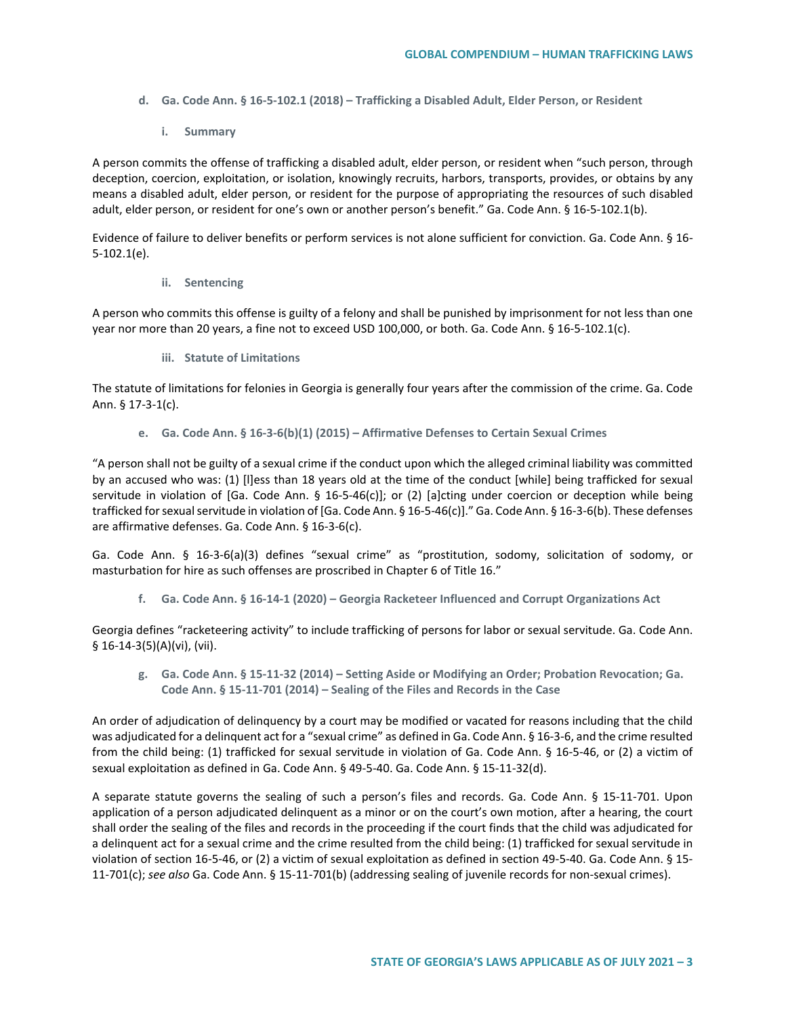- **d. Ga. Code Ann. § 16-5-102.1 (2018) – Trafficking a Disabled Adult, Elder Person, or Resident** 
	- **i. Summary**

A person commits the offense of trafficking a disabled adult, elder person, or resident when "such person, through deception, coercion, exploitation, or isolation, knowingly recruits, harbors, transports, provides, or obtains by any means a disabled adult, elder person, or resident for the purpose of appropriating the resources of such disabled adult, elder person, or resident for one's own or another person's benefit." Ga. Code Ann. § 16-5-102.1(b).

Evidence of failure to deliver benefits or perform services is not alone sufficient for conviction. Ga. Code Ann. § 16- 5-102.1(e).

**ii. Sentencing**

A person who commits this offense is guilty of a felony and shall be punished by imprisonment for not less than one year nor more than 20 years, a fine not to exceed USD 100,000, or both. Ga. Code Ann. § 16-5-102.1(c).

**iii. Statute of Limitations**

The statute of limitations for felonies in Georgia is generally four years after the commission of the crime. Ga. Code Ann. § 17-3-1(c).

**e. Ga. Code Ann. § 16-3-6(b)(1) (2015) – Affirmative Defenses to Certain Sexual Crimes**

"A person shall not be guilty of a sexual crime if the conduct upon which the alleged criminal liability was committed by an accused who was: (1) [l]ess than 18 years old at the time of the conduct [while] being trafficked for sexual servitude in violation of [Ga. Code Ann. § 16-5-46(c)]; or (2) [a]cting under coercion or deception while being trafficked for sexual servitude in violation of [Ga. Code Ann. § 16-5-46(c)]." Ga. Code Ann. § 16-3-6(b). These defenses are affirmative defenses. Ga. Code Ann. § 16-3-6(c).

Ga. Code Ann. § 16-3-6(a)(3) defines "sexual crime" as "prostitution, sodomy, solicitation of sodomy, or masturbation for hire as such offenses are proscribed in Chapter 6 of Title 16."

**f. Ga. Code Ann. § 16-14-1 (2020) – Georgia Racketeer Influenced and Corrupt Organizations Act**

Georgia defines "racketeering activity" to include trafficking of persons for labor or sexual servitude. Ga. Code Ann. § 16-14-3(5)(A)(vi), (vii).

**g. Ga. Code Ann. § 15-11-32 (2014) – Setting Aside or Modifying an Order; Probation Revocation; Ga. Code Ann. § 15-11-701 (2014) – Sealing of the Files and Records in the Case**

An order of adjudication of delinquency by a court may be modified or vacated for reasons including that the child was adjudicated for a delinquent act for a "sexual crime" as defined in Ga. Code Ann. § 16-3-6, and the crime resulted from the child being: (1) trafficked for sexual servitude in violation of Ga. Code Ann. § 16-5-46, or (2) a victim of sexual exploitation as defined in Ga. Code Ann. § 49-5-40. Ga. Code Ann. § 15-11-32(d).

A separate statute governs the sealing of such a person's files and records. Ga. Code Ann. § 15-11-701. Upon application of a person adjudicated delinquent as a minor or on the court's own motion, after a hearing, the court shall order the sealing of the files and records in the proceeding if the court finds that the child was adjudicated for a delinquent act for a sexual crime and the crime resulted from the child being: (1) trafficked for sexual servitude in violation of section 16-5-46, or (2) a victim of sexual exploitation as defined in section 49-5-40. Ga. Code Ann. § 15- 11-701(c); *see also* Ga. Code Ann. § 15-11-701(b) (addressing sealing of juvenile records for non-sexual crimes).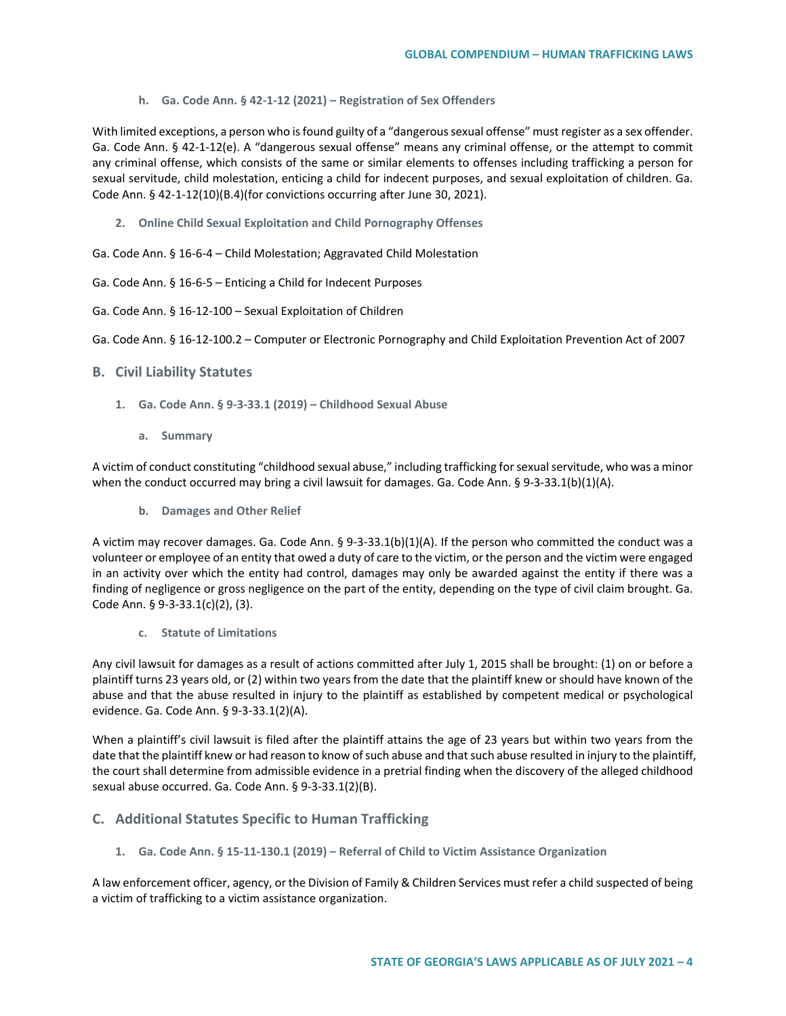**h. Ga. Code Ann. § 42-1-12 (2021) – Registration of Sex Offenders**

With limited exceptions, a person who is found guilty of a "dangerous sexual offense" must register as a sex offender. Ga. Code Ann. § 42-1-12(e). A "dangerous sexual offense" means any criminal offense, or the attempt to commit any criminal offense, which consists of the same or similar elements to offenses including trafficking a person for sexual servitude, child molestation, enticing a child for indecent purposes, and sexual exploitation of children. Ga. Code Ann. § 42-1-12(10)(B.4)(for convictions occurring after June 30, 2021).

**2. Online Child Sexual Exploitation and Child Pornography Offenses** 

Ga. Code Ann. § 16-6-4 – Child Molestation; Aggravated Child Molestation

- Ga. Code Ann. § 16-6-5 Enticing a Child for Indecent Purposes
- Ga. Code Ann. § 16-12-100 Sexual Exploitation of Children

Ga. Code Ann. § 16-12-100.2 – Computer or Electronic Pornography and Child Exploitation Prevention Act of 2007

#### **B. Civil Liability Statutes**

- **1. Ga. Code Ann. § 9-3-33.1 (2019) – Childhood Sexual Abuse**
	- **a. Summary**

A victim of conduct constituting "childhood sexual abuse," including trafficking for sexual servitude, who was a minor when the conduct occurred may bring a civil lawsuit for damages. Ga. Code Ann. § 9-3-33.1(b)(1)(A).

**b. Damages and Other Relief** 

A victim may recover damages. Ga. Code Ann. § 9-3-33.1(b)(1)(A). If the person who committed the conduct was a volunteer or employee of an entity that owed a duty of care to the victim, or the person and the victim were engaged in an activity over which the entity had control, damages may only be awarded against the entity if there was a finding of negligence or gross negligence on the part of the entity, depending on the type of civil claim brought. Ga. Code Ann. § 9-3-33.1(c)(2), (3).

**c. Statute of Limitations** 

Any civil lawsuit for damages as a result of actions committed after July 1, 2015 shall be brought: (1) on or before a plaintiff turns 23 years old, or (2) within two years from the date that the plaintiff knew or should have known of the abuse and that the abuse resulted in injury to the plaintiff as established by competent medical or psychological evidence. Ga. Code Ann. § 9-3-33.1(2)(A).

When a plaintiff's civil lawsuit is filed after the plaintiff attains the age of 23 years but within two years from the date that the plaintiff knew or had reason to know of such abuse and that such abuse resulted in injury to the plaintiff, the court shall determine from admissible evidence in a pretrial finding when the discovery of the alleged childhood sexual abuse occurred. Ga. Code Ann. § 9-3-33.1(2)(B).

### **C. Additional Statutes Specific to Human Trafficking**

**1. Ga. Code Ann. § 15-11-130.1 (2019) – Referral of Child to Victim Assistance Organization** 

A law enforcement officer, agency, or the Division of Family & Children Services must refer a child suspected of being a victim of trafficking to a victim assistance organization.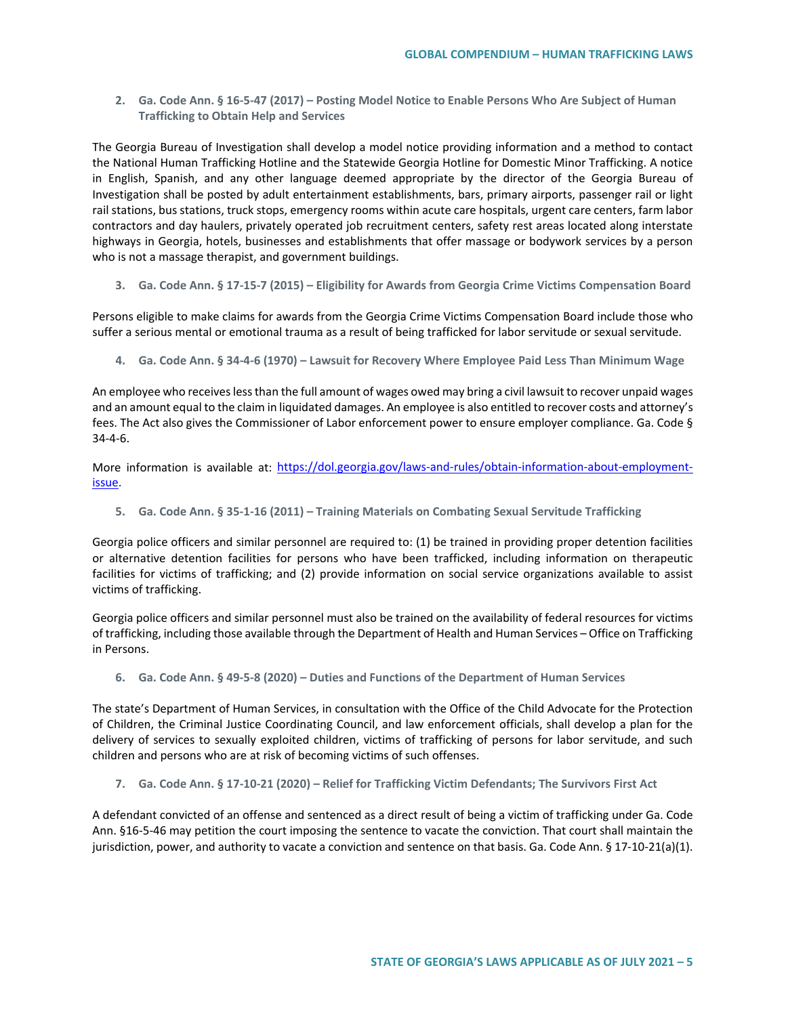**2. Ga. Code Ann. § 16-5-47 (2017) – Posting Model Notice to Enable Persons Who Are Subject of Human Trafficking to Obtain Help and Services**

The Georgia Bureau of Investigation shall develop a model notice providing information and a method to contact the National Human Trafficking Hotline and the Statewide Georgia Hotline for Domestic Minor Trafficking. A notice in English, Spanish, and any other language deemed appropriate by the director of the Georgia Bureau of Investigation shall be posted by adult entertainment establishments, bars, primary airports, passenger rail or light rail stations, bus stations, truck stops, emergency rooms within acute care hospitals, urgent care centers, farm labor contractors and day haulers, privately operated job recruitment centers, safety rest areas located along interstate highways in Georgia, hotels, businesses and establishments that offer massage or bodywork services by a person who is not a massage therapist, and government buildings.

**3. Ga. Code Ann. § 17-15-7 (2015) – Eligibility for Awards from Georgia Crime Victims Compensation Board**

Persons eligible to make claims for awards from the Georgia Crime Victims Compensation Board include those who suffer a serious mental or emotional trauma as a result of being trafficked for labor servitude or sexual servitude.

**4. Ga. Code Ann. § 34-4-6 (1970) – Lawsuit for Recovery Where Employee Paid Less Than Minimum Wage** 

An employee who receives less than the full amount of wages owed may bring a civil lawsuit to recover unpaid wages and an amount equal to the claim in liquidated damages. An employee is also entitled to recover costs and attorney's fees. The Act also gives the Commissioner of Labor enforcement power to ensure employer compliance. Ga. Code § 34-4-6.

More information is available at: [https://dol.georgia.gov/laws-and-rules/obtain-information-about-employment](https://dol.georgia.gov/laws-and-rules/obtain-information-about-employment-issue)[issue.](https://dol.georgia.gov/laws-and-rules/obtain-information-about-employment-issue)

**5. Ga. Code Ann. § 35-1-16 (2011) – Training Materials on Combating Sexual Servitude Trafficking** 

Georgia police officers and similar personnel are required to: (1) be trained in providing proper detention facilities or alternative detention facilities for persons who have been trafficked, including information on therapeutic facilities for victims of trafficking; and (2) provide information on social service organizations available to assist victims of trafficking.

Georgia police officers and similar personnel must also be trained on the availability of federal resources for victims of trafficking, including those available through the Department of Health and Human Services – Office on Trafficking in Persons.

#### **6. Ga. Code Ann. § 49-5-8 (2020) – Duties and Functions of the Department of Human Services**

The state's Department of Human Services, in consultation with the Office of the Child Advocate for the Protection of Children, the Criminal Justice Coordinating Council, and law enforcement officials, shall develop a plan for the delivery of services to sexually exploited children, victims of trafficking of persons for labor servitude, and such children and persons who are at risk of becoming victims of such offenses.

#### **7. Ga. Code Ann. § 17-10-21 (2020) – Relief for Trafficking Victim Defendants; The Survivors First Act**

A defendant convicted of an offense and sentenced as a direct result of being a victim of trafficking under Ga. Code Ann. §16-5-46 may petition the court imposing the sentence to vacate the conviction. That court shall maintain the jurisdiction, power, and authority to vacate a conviction and sentence on that basis. Ga. Code Ann. § 17-10-21(a)(1).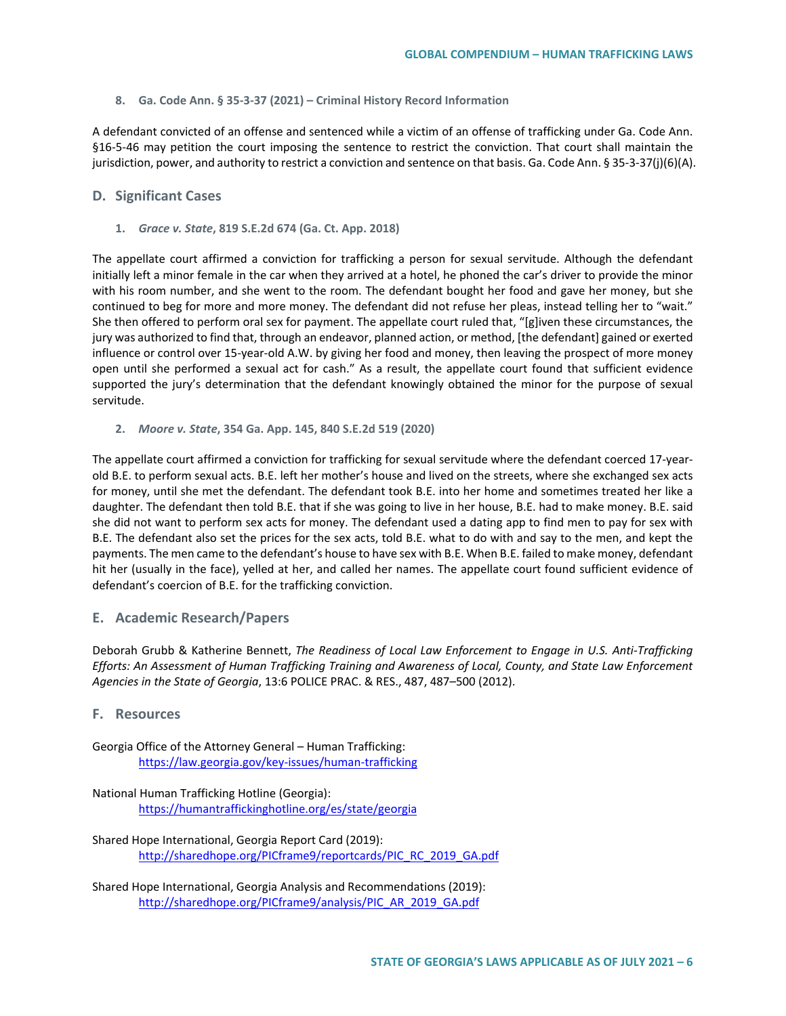**8. Ga. Code Ann. § 35-3-37 (2021) – Criminal History Record Information**

A defendant convicted of an offense and sentenced while a victim of an offense of trafficking under Ga. Code Ann. §16-5-46 may petition the court imposing the sentence to restrict the conviction. That court shall maintain the jurisdiction, power, and authority to restrict a conviction and sentence on that basis. Ga. Code Ann. § 35-3-37(j)(6)(A).

### **D. Significant Cases**

**1.** *Grace v. State***, 819 S.E.2d 674 (Ga. Ct. App. 2018)**

The appellate court affirmed a conviction for trafficking a person for sexual servitude. Although the defendant initially left a minor female in the car when they arrived at a hotel, he phoned the car's driver to provide the minor with his room number, and she went to the room. The defendant bought her food and gave her money, but she continued to beg for more and more money. The defendant did not refuse her pleas, instead telling her to "wait." She then offered to perform oral sex for payment. The appellate court ruled that, "[g]iven these circumstances, the jury was authorized to find that, through an endeavor, planned action, or method, [the defendant] gained or exerted influence or control over 15-year-old A.W. by giving her food and money, then leaving the prospect of more money open until she performed a sexual act for cash." As a result, the appellate court found that sufficient evidence supported the jury's determination that the defendant knowingly obtained the minor for the purpose of sexual servitude.

**2.** *Moore v. State***, 354 Ga. App. 145, 840 S.E.2d 519 (2020)**

The appellate court affirmed a conviction for trafficking for sexual servitude where the defendant coerced 17-yearold B.E. to perform sexual acts. B.E. left her mother's house and lived on the streets, where she exchanged sex acts for money, until she met the defendant. The defendant took B.E. into her home and sometimes treated her like a daughter. The defendant then told B.E. that if she was going to live in her house, B.E. had to make money. B.E. said she did not want to perform sex acts for money. The defendant used a dating app to find men to pay for sex with B.E. The defendant also set the prices for the sex acts, told B.E. what to do with and say to the men, and kept the payments. The men came to the defendant's house to have sex with B.E. When B.E. failed to make money, defendant hit her (usually in the face), yelled at her, and called her names. The appellate court found sufficient evidence of defendant's coercion of B.E. for the trafficking conviction.

## **E. Academic Research/Papers**

Deborah Grubb & Katherine Bennett, *The Readiness of Local Law Enforcement to Engage in U.S. Anti-Trafficking Efforts: An Assessment of Human Trafficking Training and Awareness of Local, County, and State Law Enforcement Agencies in the State of Georgia*, 13:6 POLICE PRAC. & RES., 487, 487–500 (2012).

### **F. Resources**

Georgia Office of the Attorney General – Human Trafficking: <https://law.georgia.gov/key-issues/human-trafficking>

National Human Trafficking Hotline (Georgia): <https://humantraffickinghotline.org/es/state/georgia>

Shared Hope International, Georgia Report Card (2019): [http://sharedhope.org/PICframe9/reportcards/PIC\\_RC\\_2019\\_GA.pdf](http://sharedhope.org/PICframe9/reportcards/PIC_RC_2019_GA.pdf)

Shared Hope International, Georgia Analysis and Recommendations (2019): [http://sharedhope.org/PICframe9/analysis/PIC\\_AR\\_2019\\_GA.pdf](http://sharedhope.org/PICframe9/analysis/PIC_AR_2019_GA.pdf)